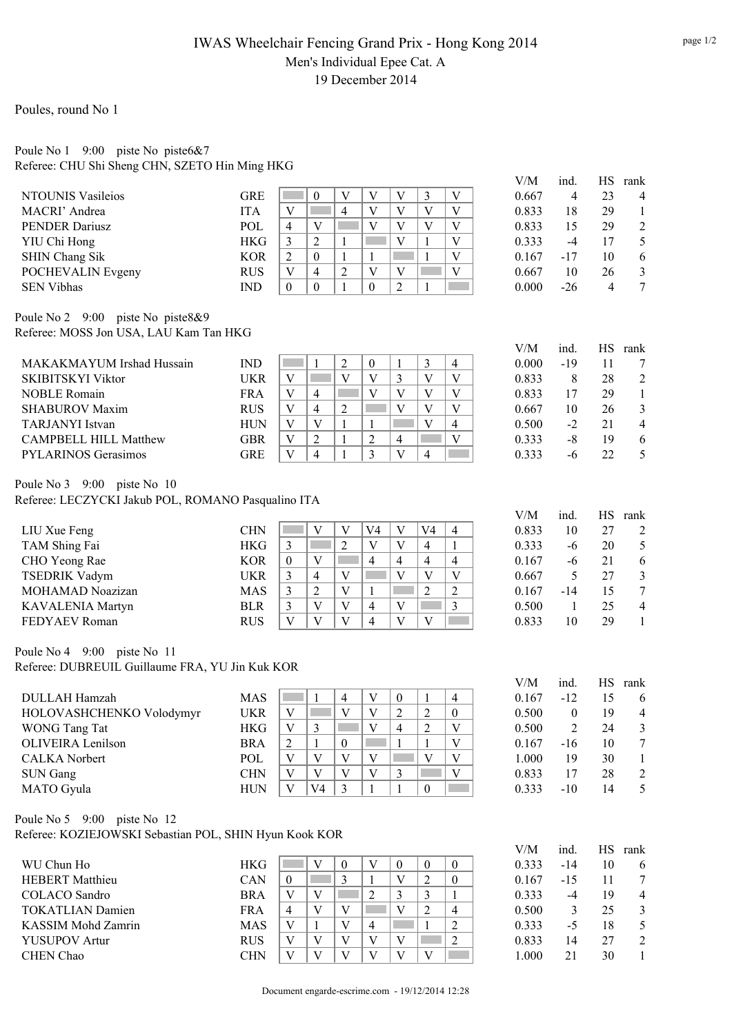## IWAS Wheelchair Fencing Grand Prix - Hong Kong 2014 Men's Individual Epee Cat. A 19 December 2014

Poules, round No 1

#### Poule No 1 9:00 piste No piste6&7 Referee: CHU Shi Sheng CHN, SZETO Hin Ming HKG

|                                                        |            | V/M<br>ind.                                                                                                                                    | HS<br>rank                             |
|--------------------------------------------------------|------------|------------------------------------------------------------------------------------------------------------------------------------------------|----------------------------------------|
| <b>NTOUNIS Vasileios</b>                               | <b>GRE</b> | $\overline{V}$<br>V<br>$\overline{\mathsf{V}}$<br>3<br>$\mathbf V$<br>$\boldsymbol{0}$<br>0.667                                                | 23<br>$\overline{4}$<br>$\overline{4}$ |
| MACRI' Andrea                                          | <b>ITA</b> | V<br>$\overline{4}$<br>V<br>V<br>V<br>V<br>H.<br>0.833                                                                                         | 29<br>18<br>$\mathbf{1}$               |
| <b>PENDER Dariusz</b>                                  | POL        | V<br>$\overline{V}$<br>V<br>$\mathbf V$<br>$\overline{4}$<br>V<br>0.833                                                                        | $\sqrt{2}$<br>15<br>29                 |
| YIU Chi Hong                                           | <b>HKG</b> | $\mathfrak{Z}$<br>$\overline{2}$<br>$\mathbf{1}$<br>V<br>$\mathbf{1}$<br>V<br>0.333                                                            | $\sqrt{5}$<br>$-4$<br>17               |
| <b>SHIN Chang Sik</b>                                  | <b>KOR</b> | $\overline{2}$<br>$\mathbf{1}$<br>$\mathbf{1}$<br>$\mathbf V$<br>$\boldsymbol{0}$<br>$\mathbf{1}$<br>$-17$<br>in 19<br>0.167                   | 6<br>10                                |
| POCHEVALIN Evgeny                                      | <b>RUS</b> | $\mathbf V$<br>$\overline{4}$<br>$\overline{c}$<br>V<br>$\mathbf V$<br>p.<br>V<br>0.667                                                        | $\mathfrak{Z}$<br>10<br>26             |
| <b>SEN Vibhas</b>                                      | <b>IND</b> | $\mathbf{0}$<br>$\mathbf{0}$<br>$\mathbf{1}$<br>$\mathbf{0}$<br>$\overline{2}$<br>$\mathbf{1}$<br>0.000<br>$-26$                               | $\overline{7}$<br>$\overline{4}$       |
|                                                        |            |                                                                                                                                                |                                        |
| Poule No 2 9:00 piste No piste 8&9                     |            |                                                                                                                                                |                                        |
| Referee: MOSS Jon USA, LAU Kam Tan HKG                 |            |                                                                                                                                                |                                        |
|                                                        |            | V/M<br>ind.                                                                                                                                    | <b>HS</b><br>rank                      |
| MAKAKMAYUM Irshad Hussain                              | <b>IND</b> | $\sqrt{2}$<br>$\mathfrak{Z}$<br>$\mathbf{1}$<br>$\boldsymbol{0}$<br>$\mathbf{1}$<br>$\overline{4}$<br>0.000<br>$-19$<br>in.                    | 11<br>7                                |
| <b>SKIBITSKYI Viktor</b>                               | <b>UKR</b> | $\mathbf{V}$<br>V<br>3<br>V<br>$\mathbf V$<br>V<br>0.833                                                                                       | 28<br>$\sqrt{2}$<br>8                  |
| <b>NOBLE Romain</b>                                    | <b>FRA</b> | V<br>$\overline{V}$<br>V<br>$\mathbf V$<br>4<br>V<br>0.833                                                                                     | 17<br>29<br>$\mathbf{1}$               |
| <b>SHABUROV Maxim</b>                                  | <b>RUS</b> | V<br>$\overline{c}$<br>$\overline{V}$<br>V<br>V<br>$\overline{4}$<br>0.667                                                                     | $\mathfrak{Z}$<br>10<br>26             |
| <b>TARJANYI</b> Istvan                                 | <b>HUN</b> | V<br>V<br>V<br>$\overline{4}$<br>$\mathbf{1}$<br>$\mathbf{1}$<br>0.500                                                                         | $\overline{4}$<br>$-2$<br>21           |
| <b>CAMPBELL HILL Matthew</b>                           | <b>GBR</b> | $\overline{2}$<br>V<br>$\overline{V}$<br>$\overline{2}$<br>$\mathbf{1}$<br>$\overline{4}$<br>0.333                                             | $-8$<br>19<br>6                        |
| <b>PYLARINOS Gerasimos</b>                             | <b>GRE</b> | V<br>3<br>$\overline{V}$<br>$\overline{4}$<br>$\overline{4}$<br>1<br>0.333                                                                     | 5<br>22<br>$-6$                        |
| Poule No 3 9:00 piste No 10                            |            |                                                                                                                                                |                                        |
| Referee: LECZYCKI Jakub POL, ROMANO Pasqualino ITA     |            |                                                                                                                                                |                                        |
|                                                        |            | V/M<br>ind.                                                                                                                                    | HS<br>rank                             |
| LIU Xue Feng                                           | <b>CHN</b> | V<br>V<br>V <sub>4</sub><br>$\mathbf V$<br>V <sub>4</sub><br>$\overline{4}$<br>0.833                                                           | 27<br>10<br>$\overline{2}$             |
| TAM Shing Fai                                          | <b>HKG</b> | $\overline{2}$<br>$\mathfrak{Z}$<br>$\overline{V}$<br>$\overline{4}$<br>$\mathbf{1}$<br>V<br>r.<br>0.333                                       | $\sqrt{5}$<br>20<br>$-6$               |
| CHO Yeong Rae                                          | <b>KOR</b> | $\overline{4}$<br>$\overline{4}$<br>$\overline{4}$<br>$\boldsymbol{0}$<br>V<br>$\overline{4}$<br>0.167                                         | 21<br>6<br>$-6$                        |
| <b>TSEDRIK Vadym</b>                                   | <b>UKR</b> | $\mathfrak{Z}$<br>$\mathbf{V}$<br>$\overline{V}$<br>$\overline{V}$<br>$\overline{V}$<br>$\overline{4}$<br>0.667                                | $\mathfrak{Z}$<br>5<br>27              |
| MOHAMAD Noazizan                                       |            | $\overline{3}$<br>$\overline{2}$<br>$\mathbf{V}$                                                                                               | $\boldsymbol{7}$                       |
|                                                        | <b>MAS</b> | $\overline{2}$<br>$\sqrt{2}$<br>$\mathbf{1}$<br>0.167<br>$-14$<br>$\overline{\mathbf{3}}$<br>$\overline{\mathbf{3}}$<br>$\mathbf{V}$<br>V<br>V | 15                                     |
| KAVALENIA Martyn                                       | <b>BLR</b> | $\overline{4}$<br>0.500                                                                                                                        | 25<br>$\overline{4}$<br>$\mathbf{1}$   |
| FEDYAEV Roman                                          | <b>RUS</b> | $\overline{V}$<br>$\overline{\mathbf{4}}$<br>V<br>V<br>V<br>V<br>0.833                                                                         | 10<br>29<br>$\mathbf{1}$               |
| Poule No 4 9:00 piste No 11                            |            |                                                                                                                                                |                                        |
| Referee: DUBREUIL Guillaume FRA, YU Jin Kuk KOR        |            |                                                                                                                                                |                                        |
|                                                        |            | V/M<br>ind.                                                                                                                                    | <b>HS</b><br>rank                      |
| <b>DULLAH Hamzah</b>                                   | <b>MAS</b> | $\mathbf V$<br>0.167<br>$-12$<br>-1<br>$\overline{4}$<br>$\boldsymbol{0}$<br>$\mathbf 1$<br>$\overline{4}$                                     | 15<br>6                                |
| HOLOVASHCHENKO Volodymyr                               | <b>UKR</b> | $\overline{V}$<br>$\overline{2}$<br>$\overline{2}$<br>V<br>$\mathbf V$<br>$\boldsymbol{0}$<br>0.500                                            | $\mathbf{0}$<br>19<br>$\overline{4}$   |
| WONG Tang Tat                                          | <b>HKG</b> | 3<br>V<br>$\overline{c}$<br>V<br>V<br>4<br>0.500                                                                                               | $\sqrt{2}$<br>24<br>$\mathfrak{Z}$     |
| <b>OLIVEIRA</b> Lenilson                               | <b>BRA</b> | $\sqrt{2}$<br>$\mathbf{1}$<br>$\boldsymbol{0}$<br>$\mathbf{1}$<br>$\mathbf{1}$<br>V<br>0.167<br>$-16$                                          | 10<br>$\tau$                           |
| <b>CALKA</b> Norbert                                   | POL        | $\overline{V}$<br>$\mathbf V$<br>$\mathbf V$<br>$\mathbf V$<br>$\mathbf V$<br>V<br>1.000                                                       | 30<br>19<br>$\mathbf{1}$               |
| <b>SUN Gang</b>                                        | <b>CHN</b> | $\mathbf V$<br>V<br>V<br>V<br>V<br>3<br>0.833                                                                                                  | 28<br>17<br>$\overline{c}$             |
| <b>MATO</b> Gyula                                      | <b>HUN</b> | $\mathbf{1}$<br>$\mathbf{1}$<br>$\mathbf V$<br>V <sub>4</sub><br>$\overline{3}$<br>$\boldsymbol{0}$<br>0.333<br>$-10$                          | 5<br>14                                |
|                                                        |            |                                                                                                                                                |                                        |
| Poule No 5 9:00 piste No 12                            |            |                                                                                                                                                |                                        |
| Referee: KOZIEJOWSKI Sebastian POL, SHIN Hyun Kook KOR |            |                                                                                                                                                |                                        |
|                                                        |            | V/M<br>ind.                                                                                                                                    | HS rank                                |
| WU Chun Ho                                             | <b>HKG</b> | $\boldsymbol{0}$<br>V<br>$\boldsymbol{0}$<br>V<br>$\boldsymbol{0}$<br>$\boldsymbol{0}$<br>0.333<br>$-14$<br>in.                                | 10<br>6                                |
| <b>HEBERT</b> Matthieu                                 | CAN        | $\mathfrak{Z}$<br>$\mathfrak{2}$<br>$\boldsymbol{0}$<br>$\mathbf V$<br>$\boldsymbol{0}$<br>0.167<br>$-15$<br>1                                 | 11<br>7                                |
| <b>COLACO</b> Sandro                                   | <b>BRA</b> | $\sqrt{2}$<br>$\mathbf V$<br>3<br>V<br>3<br>$\mathbf{1}$<br>0.333                                                                              | $-4$<br>19<br>$\overline{4}$           |
| <b>TOKATLIAN Damien</b>                                | <b>FRA</b> | V<br>V<br>V<br>$\overline{2}$<br>$\overline{4}$<br>$\overline{4}$<br>0.500                                                                     | 25<br>3<br>$\mathfrak{Z}$              |
| KASSIM Mohd Zamrin                                     | <b>MAS</b> | $\mathbf V$<br>$\mathbf V$<br>$\sqrt{2}$<br>$\overline{4}$<br>0.333<br>$\mathbf{1}$                                                            | 5 <sup>5</sup><br>$-5$<br>18           |

YUSUPOV Artur RUS V V V V V 2 0.833 14 27 2 CHEN Chao CHN  $|V|V|V|V|V|V|V|U|$  1.000 21 30 1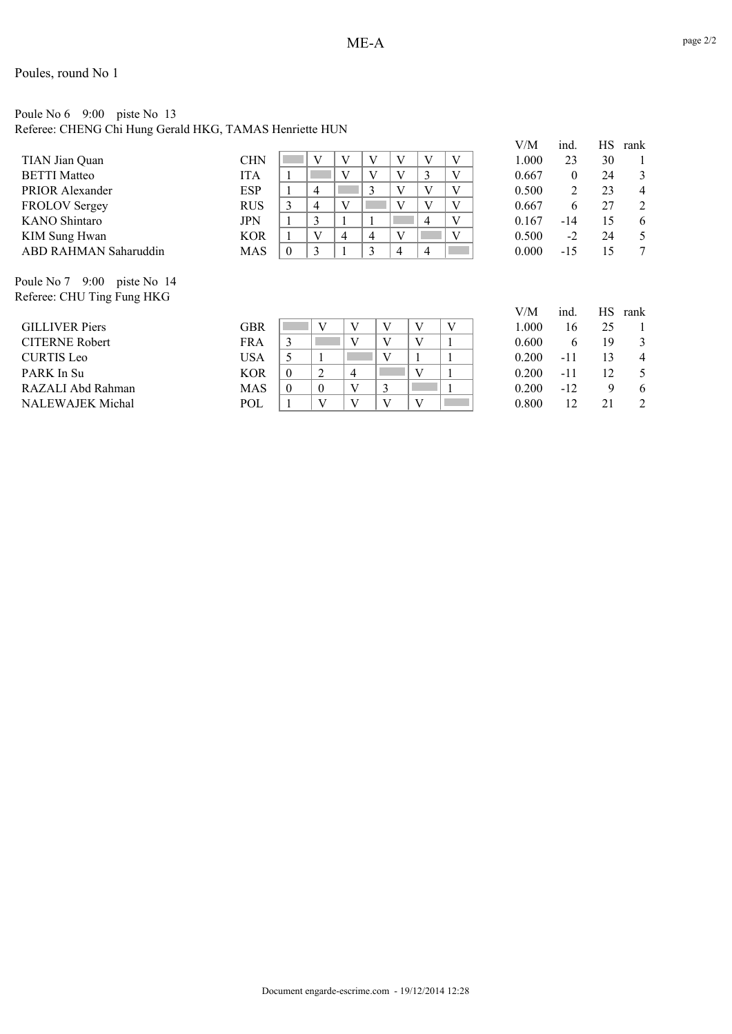# Poule No 6 9:00 piste No 13

Referee: CHENG Chi Hung Gerald HKG, TAMAS Henriette HUN

|                                     |            |              |                |   |                |   |                |   | V/M   | ind. | НS | rank |
|-------------------------------------|------------|--------------|----------------|---|----------------|---|----------------|---|-------|------|----|------|
| TIAN Jian Quan                      | CHN        |              | V              | V | V              | V | V              | V | 1.000 | 23   | 30 |      |
| <b>BETTI Matteo</b>                 | <b>ITA</b> |              |                | V | V              | V | 3              | V | 0.667 | 0    | 24 | 3    |
| <b>PRIOR Alexander</b>              | <b>ESP</b> |              | $\overline{4}$ |   | 3              |   | V              | V | 0.500 | 2    | 23 | 4    |
| <b>FROLOV Sergey</b>                | <b>RUS</b> | 3            | $\overline{4}$ | V |                | V | V              | V | 0.667 | 6    | 27 | 2    |
| <b>KANO</b> Shintaro                | <b>JPN</b> |              |                |   |                |   | $\overline{4}$ | V | 0.167 | -14  | 15 | 6    |
| KIM Sung Hwan                       | <b>KOR</b> |              | V              | 4 | $\overline{4}$ | V |                | V | 0.500 | $-2$ | 24 | 5    |
| ABD RAHMAN Saharuddin               | MAS        | $\mathbf{0}$ | 3              |   | 3              | 4 | 4              |   | 0.000 | -15  | 15 |      |
|                                     |            |              |                |   |                |   |                |   |       |      |    |      |
| Poule No. 7<br>9.00<br>niste No. 14 |            |              |                |   |                |   |                |   |       |      |    |      |

Poule No 7 9:00 piste No 14 Referee: CHU Ting Fung HKG

|                         |            |              |          |                |  |  | V/M   | ınd.  | НS | rank           |
|-------------------------|------------|--------------|----------|----------------|--|--|-------|-------|----|----------------|
| <b>GILLIVER Piers</b>   | GBR        |              | V        |                |  |  | 1.000 | 16    | 25 |                |
| <b>CITERNE Robert</b>   | <b>FRA</b> | 3            |          |                |  |  | 0.600 | h.    | 19 | 3              |
| <b>CURTIS Leo</b>       | USA        |              |          |                |  |  | 0.200 | -11   | 13 | $\overline{4}$ |
| PARK In Su              | <b>KOR</b> | $\mathbf{0}$ | ∠        | $\overline{A}$ |  |  | 0.200 | -11   | 12 |                |
| RAZALI Abd Rahman       | <b>MAS</b> | $\theta$     | $\theta$ | v              |  |  | 0.200 | $-12$ | Q  | 6              |
| <b>NALEWAJEK Michal</b> | POL        |              | V        |                |  |  | 0.800 | 12    | 21 | 2              |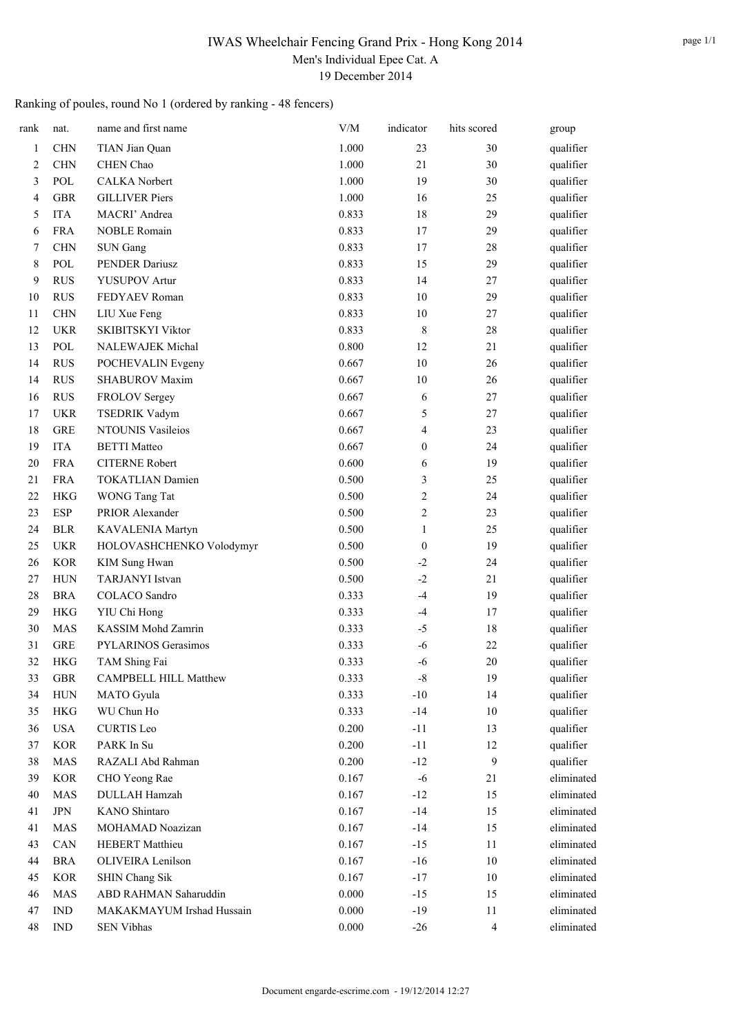### IWAS Wheelchair Fencing Grand Prix - Hong Kong 2014 Men's Individual Epee Cat. A 19 December 2014

## Ranking of poules, round No 1 (ordered by ranking - 48 fencers)

| rank   | nat.                        | name and first name          | V/M   | indicator        | hits scored          | group                  |
|--------|-----------------------------|------------------------------|-------|------------------|----------------------|------------------------|
| 1      | <b>CHN</b>                  | TIAN Jian Quan               | 1.000 | 23               | 30                   | qualifier              |
| 2      | <b>CHN</b>                  | CHEN Chao                    | 1.000 | 21               | 30                   | qualifier              |
| 3      | POL                         | <b>CALKA</b> Norbert         | 1.000 | 19               | 30                   | qualifier              |
| 4      | <b>GBR</b>                  | <b>GILLIVER Piers</b>        | 1.000 | 16               | 25                   | qualifier              |
| 5      | <b>ITA</b>                  | MACRI' Andrea                | 0.833 | 18               | 29                   | qualifier              |
| 6      | <b>FRA</b>                  | <b>NOBLE Romain</b>          | 0.833 | 17               | 29                   | qualifier              |
| 7      | <b>CHN</b>                  | <b>SUN Gang</b>              | 0.833 | 17               | 28                   | qualifier              |
| 8      | POL                         | PENDER Dariusz               | 0.833 | 15               | 29                   | qualifier              |
| 9      | <b>RUS</b>                  | <b>YUSUPOV Artur</b>         | 0.833 | 14               | 27                   | qualifier              |
| 10     | <b>RUS</b>                  | FEDYAEV Roman                | 0.833 | $10\,$           | 29                   | qualifier              |
| 11     | <b>CHN</b>                  | LIU Xue Feng                 | 0.833 | $10\,$           | 27                   | qualifier              |
| 12     | <b>UKR</b>                  | SKIBITSKYI Viktor            | 0.833 | 8                | 28                   | qualifier              |
| 13     | POL                         | <b>NALEWAJEK Michal</b>      | 0.800 | 12               | 21                   | qualifier              |
| 14     | <b>RUS</b>                  | POCHEVALIN Evgeny            | 0.667 | 10               | 26                   | qualifier              |
| 14     | <b>RUS</b>                  | SHABUROV Maxim               | 0.667 | $10\,$           | 26                   | qualifier              |
| 16     | <b>RUS</b>                  | FROLOV Sergey                | 0.667 | 6                | 27                   | qualifier              |
| 17     | <b>UKR</b>                  | <b>TSEDRIK Vadym</b>         | 0.667 | 5                | 27                   | qualifier              |
| 18     | <b>GRE</b>                  | <b>NTOUNIS Vasileios</b>     | 0.667 | 4                | 23                   | qualifier              |
| 19     | <b>ITA</b>                  | <b>BETTI</b> Matteo          | 0.667 | $\boldsymbol{0}$ | 24                   | qualifier              |
| 20     | <b>FRA</b>                  | <b>CITERNE Robert</b>        | 0.600 | 6                | 19                   | qualifier              |
| 21     | <b>FRA</b>                  | <b>TOKATLIAN Damien</b>      | 0.500 | $\mathfrak{Z}$   | 25                   | qualifier              |
| 22     | <b>HKG</b>                  | WONG Tang Tat                | 0.500 | $\boldsymbol{2}$ | 24                   | qualifier              |
| 23     | <b>ESP</b>                  | PRIOR Alexander              | 0.500 | $\sqrt{2}$       | 23                   | qualifier              |
| 24     | <b>BLR</b>                  | KAVALENIA Martyn             | 0.500 | 1                | 25                   | qualifier              |
| 25     | <b>UKR</b>                  | HOLOVASHCHENKO Volodymyr     | 0.500 | $\boldsymbol{0}$ | 19                   | qualifier              |
| 26     | <b>KOR</b>                  | <b>KIM Sung Hwan</b>         | 0.500 | $-2$             | 24                   | qualifier              |
| 27     | <b>HUN</b>                  | <b>TARJANYI</b> Istvan       | 0.500 | $-2$             | 21                   | qualifier              |
| 28     | <b>BRA</b>                  | COLACO Sandro                | 0.333 | $-4$             | 19                   | qualifier              |
| 29     | <b>HKG</b>                  | YIU Chi Hong                 | 0.333 | $-4$             | 17                   | qualifier              |
| 30     | <b>MAS</b>                  | KASSIM Mohd Zamrin           | 0.333 | $-5$             | 18                   | qualifier              |
| 31     | <b>GRE</b>                  | PYLARINOS Gerasimos          | 0.333 | -6               | 22                   | qualifier              |
| 32     | <b>HKG</b>                  | TAM Shing Fai                | 0.333 | $-6$             | 20                   | qualifier              |
| 33     | ${\rm GBR}$                 | <b>CAMPBELL HILL Matthew</b> | 0.333 | $\mbox{-}8$      | 19                   | qualifier              |
| 34     | ${\rm HUN}$                 | <b>MATO</b> Gyula            | 0.333 | $-10$            | 14                   | qualifier              |
| 35     |                             | WU Chun Ho                   | 0.333 | $-14$            | $10\,$               | qualifier              |
| 36     | HKG                         |                              | 0.200 | $-11$            |                      |                        |
|        | <b>USA</b>                  | <b>CURTIS</b> Leo            |       |                  | 13                   | qualifier              |
| 37     | <b>KOR</b>                  | PARK In Su                   | 0.200 | $-11$            | 12<br>$\overline{9}$ | qualifier<br>qualifier |
| 38     | <b>MAS</b>                  | RAZALI Abd Rahman            | 0.200 | $-12$            |                      |                        |
| 39     | <b>KOR</b>                  | CHO Yeong Rae                | 0.167 | $-6$             | 21                   | eliminated             |
| 40     | <b>MAS</b>                  | DULLAH Hamzah                | 0.167 | $-12$            | 15                   | eliminated             |
| 41     | JPN                         | KANO Shintaro                | 0.167 | $-14$            | 15                   | eliminated             |
| 41     | <b>MAS</b>                  | MOHAMAD Noazizan             | 0.167 | $-14$            | 15                   | eliminated             |
| 43     | CAN                         | HEBERT Matthieu              | 0.167 | $-15$            | 11                   | eliminated             |
| 44     | <b>BRA</b>                  | OLIVEIRA Lenilson            | 0.167 | $-16$            | 10                   | eliminated             |
| 45     | <b>KOR</b>                  | <b>SHIN Chang Sik</b>        | 0.167 | $-17$            | 10                   | eliminated             |
| 46     | <b>MAS</b>                  | ABD RAHMAN Saharuddin        | 0.000 | $-15$            | 15                   | eliminated             |
| 47     | <b>IND</b>                  | MAKAKMAYUM Irshad Hussain    | 0.000 | $-19$            | 11                   | eliminated             |
| $48\,$ | $\mathop{\rm IND}\nolimits$ | SEN Vibhas                   | 0.000 | $-26$            | $\overline{4}$       | eliminated             |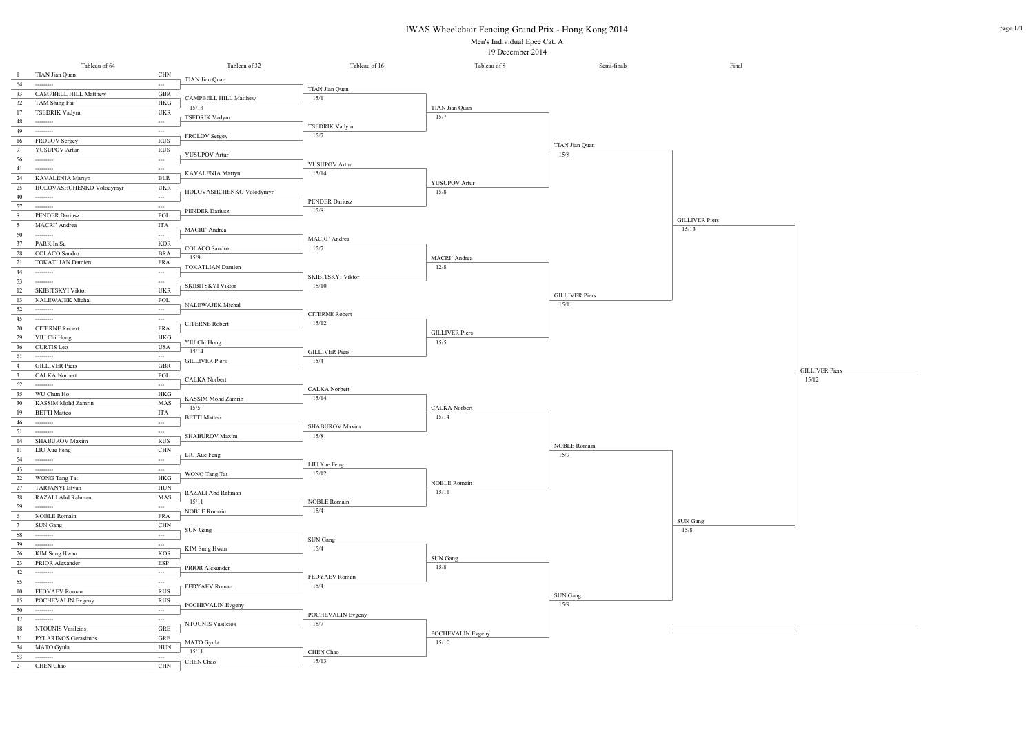IWAS Wheelchair Fencing Grand Prix - Hong Kong 2014

Men's Individual Epee Cat. A 19 December 2014

|                         | Tableau of 64                                                                                                                                                                                                                                                                                                                                                                                                                                                                          |                          | Tableau of 32              | Tableau of 16                  | Tableau of 8                  | Semi-finals           | Final                 |
|-------------------------|----------------------------------------------------------------------------------------------------------------------------------------------------------------------------------------------------------------------------------------------------------------------------------------------------------------------------------------------------------------------------------------------------------------------------------------------------------------------------------------|--------------------------|----------------------------|--------------------------------|-------------------------------|-----------------------|-----------------------|
| $\mathbf{1}$            | TIAN Jian Quan                                                                                                                                                                                                                                                                                                                                                                                                                                                                         | CHN                      | TIAN Jian Quan             |                                |                               |                       |                       |
| 64                      | ---------                                                                                                                                                                                                                                                                                                                                                                                                                                                                              | ---                      |                            | TIAN Jian Quan                 |                               |                       |                       |
| 33                      | <b>CAMPBELL HILL Matthew</b>                                                                                                                                                                                                                                                                                                                                                                                                                                                           | GBR                      | CAMPBELL HILL Matthew      | 15/1                           |                               |                       |                       |
| 32                      | TAM Shing Fai                                                                                                                                                                                                                                                                                                                                                                                                                                                                          | $\rm{HKG}$               | 15/13                      |                                | TIAN Jian Quan                |                       |                       |
| 17                      | <b>TSEDRIK Vadym</b>                                                                                                                                                                                                                                                                                                                                                                                                                                                                   | <b>UKR</b>               | <b>TSEDRIK Vadym</b>       |                                | 15/7                          |                       |                       |
| 48                      | ---------                                                                                                                                                                                                                                                                                                                                                                                                                                                                              | $\cdots$                 |                            | <b>TSEDRIK Vadym</b>           |                               |                       |                       |
| 49                      | $-----$                                                                                                                                                                                                                                                                                                                                                                                                                                                                                | $\hspace{0.05cm} \cdots$ | FROLOV Sergey              | 15/7                           |                               |                       |                       |
| 16                      | <b>FROLOV Sergey</b>                                                                                                                                                                                                                                                                                                                                                                                                                                                                   | <b>RUS</b>               |                            |                                |                               | TIAN Jian Quan        |                       |
| - 9                     | <b>YUSUPOV Artur</b>                                                                                                                                                                                                                                                                                                                                                                                                                                                                   | <b>RUS</b>               | YUSUPOV Artur              |                                |                               | 15/8                  |                       |
| 56                      | ---------                                                                                                                                                                                                                                                                                                                                                                                                                                                                              | $\hspace{0.05cm} \ldots$ |                            | YUSUPOV Artur                  |                               |                       |                       |
| 41                      | ---------                                                                                                                                                                                                                                                                                                                                                                                                                                                                              | $\hspace{0.05cm} \cdots$ | KAVALENIA Martyn           | 15/14                          |                               |                       |                       |
| 24                      | KAVALENIA Martyn                                                                                                                                                                                                                                                                                                                                                                                                                                                                       | <b>BLR</b>               |                            |                                | YUSUPOV Artur                 |                       |                       |
| 25                      | HOLOVASHCHENKO Volodymyr                                                                                                                                                                                                                                                                                                                                                                                                                                                               | <b>UKR</b>               | HOLOVASHCHENKO Volodymyr   |                                | 15/8                          |                       |                       |
| 40                      |                                                                                                                                                                                                                                                                                                                                                                                                                                                                                        | $\cdots$                 |                            | <b>PENDER Dariusz</b>          |                               |                       |                       |
| 57                      | $\begin{array}{cccccccccc} \multicolumn{2}{c}{} & \multicolumn{2}{c}{} & \multicolumn{2}{c}{} & \multicolumn{2}{c}{} & \multicolumn{2}{c}{} & \multicolumn{2}{c}{} & \multicolumn{2}{c}{} & \multicolumn{2}{c}{} & \multicolumn{2}{c}{} & \multicolumn{2}{c}{} & \multicolumn{2}{c}{} & \multicolumn{2}{c}{} & \multicolumn{2}{c}{} & \multicolumn{2}{c}{} & \multicolumn{2}{c}{} & \multicolumn{2}{c}{} & \multicolumn{2}{c}{} & \multicolumn{2}{c}{} & \multicolumn{2}{c}{} & \mult$ | $\hspace{0.05cm} \cdots$ | <b>PENDER Dariusz</b>      | 15/8                           |                               |                       |                       |
| 8                       | <b>PENDER Dariusz</b>                                                                                                                                                                                                                                                                                                                                                                                                                                                                  | POL                      |                            |                                |                               |                       | <b>GILLIVER Piers</b> |
| $5\overline{5}$         | MACRI' Andrea                                                                                                                                                                                                                                                                                                                                                                                                                                                                          | ITA                      | MACRI' Andrea              |                                |                               |                       | 15/13                 |
| 60                      | $-----$                                                                                                                                                                                                                                                                                                                                                                                                                                                                                | $\cdots$                 |                            | MACRI' Andrea                  |                               |                       |                       |
| 37                      | PARK In Su                                                                                                                                                                                                                                                                                                                                                                                                                                                                             | KOR                      | COLACO Sandro              | 15/7                           |                               |                       |                       |
| 28                      | <b>COLACO</b> Sandro                                                                                                                                                                                                                                                                                                                                                                                                                                                                   | <b>BRA</b>               | 15/9                       |                                | MACRI' Andrea                 |                       |                       |
| 21                      | <b>TOKATLIAN Damien</b>                                                                                                                                                                                                                                                                                                                                                                                                                                                                | FRA                      | TOKATLIAN Damien           |                                | 12/8                          |                       |                       |
| 44                      | $-----$                                                                                                                                                                                                                                                                                                                                                                                                                                                                                | ---                      |                            | <b>SKIBITSKYI Viktor</b>       |                               |                       |                       |
| 53                      | ---------                                                                                                                                                                                                                                                                                                                                                                                                                                                                              | ---                      | SKIBITSKYI Viktor          | 15/10                          |                               |                       |                       |
| 12                      | SKIBITSKYI Viktor                                                                                                                                                                                                                                                                                                                                                                                                                                                                      | <b>UKR</b>               |                            |                                |                               | <b>GILLIVER Piers</b> |                       |
| 13                      | NALEWAJEK Michal                                                                                                                                                                                                                                                                                                                                                                                                                                                                       | POL                      | <b>NALEWAJEK Michal</b>    |                                |                               | 15/11                 |                       |
| 52                      | $\begin{array}{cccccccccc} \multicolumn{2}{c}{} & \multicolumn{2}{c}{} & \multicolumn{2}{c}{} & \multicolumn{2}{c}{} & \multicolumn{2}{c}{} & \multicolumn{2}{c}{} & \multicolumn{2}{c}{} & \multicolumn{2}{c}{} & \multicolumn{2}{c}{} & \multicolumn{2}{c}{} & \multicolumn{2}{c}{} & \multicolumn{2}{c}{} & \multicolumn{2}{c}{} & \multicolumn{2}{c}{} & \multicolumn{2}{c}{} & \multicolumn{2}{c}{} & \multicolumn{2}{c}{} & \multicolumn{2}{c}{} & \multicolumn{2}{c}{} & \mult$ | $\scriptstyle\cdots$     |                            |                                |                               |                       |                       |
| 45                      | $-----$                                                                                                                                                                                                                                                                                                                                                                                                                                                                                | $\hspace{0.05cm} \cdots$ |                            | <b>CITERNE Robert</b><br>15/12 |                               |                       |                       |
| 20                      | <b>CITERNE Robert</b>                                                                                                                                                                                                                                                                                                                                                                                                                                                                  | <b>FRA</b>               | <b>CITERNE Robert</b>      |                                |                               |                       |                       |
| 29                      | YIU Chi Hong                                                                                                                                                                                                                                                                                                                                                                                                                                                                           | HKG                      |                            |                                | <b>GILLIVER Piers</b><br>15/5 |                       |                       |
| 36                      | <b>CURTIS Leo</b>                                                                                                                                                                                                                                                                                                                                                                                                                                                                      | <b>USA</b>               | YIU Chi Hong<br>15/14      |                                |                               |                       |                       |
| 61                      | $-----1$                                                                                                                                                                                                                                                                                                                                                                                                                                                                               | $\sim$                   |                            | <b>GILLIVER Piers</b><br>15/4  |                               |                       |                       |
| $\overline{4}$          | <b>GILLIVER</b> Piers                                                                                                                                                                                                                                                                                                                                                                                                                                                                  | GBR                      | <b>GILLIVER Piers</b>      |                                |                               |                       |                       |
| $\overline{\mathbf{3}}$ | <b>CALKA</b> Norbert                                                                                                                                                                                                                                                                                                                                                                                                                                                                   | POL                      |                            |                                |                               |                       |                       |
| 62                      |                                                                                                                                                                                                                                                                                                                                                                                                                                                                                        | $\scriptstyle \cdots$    | CALKA Norbert              |                                |                               |                       |                       |
| 35                      | WU Chun Ho                                                                                                                                                                                                                                                                                                                                                                                                                                                                             | HKG                      |                            | <b>CALKA</b> Norbert           |                               |                       |                       |
| 30                      | KASSIM Mohd Zamrin                                                                                                                                                                                                                                                                                                                                                                                                                                                                     | MAS                      | KASSIM Mohd Zamrin<br>15/5 | 15/14                          |                               |                       |                       |
| 19                      | <b>BETTI Matteo</b>                                                                                                                                                                                                                                                                                                                                                                                                                                                                    | ITA                      |                            |                                | <b>CALKA</b> Norbert          |                       |                       |
| 46                      | ----------                                                                                                                                                                                                                                                                                                                                                                                                                                                                             | ---                      | <b>BETTI Matteo</b>        | <b>SHABUROV Maxim</b>          | 15/14                         |                       |                       |
| 51                      | ---------                                                                                                                                                                                                                                                                                                                                                                                                                                                                              | $\hspace{0.05cm} \cdots$ |                            | 15/8                           |                               |                       |                       |
| 14                      | SHABUROV Maxim                                                                                                                                                                                                                                                                                                                                                                                                                                                                         | <b>RUS</b>               | <b>SHABUROV Maxim</b>      |                                |                               |                       |                       |
| 11                      | LIU Xue Feng                                                                                                                                                                                                                                                                                                                                                                                                                                                                           | CHN                      | LIU Xue Feng               |                                |                               | NOBLE Romain<br>15/9  |                       |
| 54                      | $-----1$                                                                                                                                                                                                                                                                                                                                                                                                                                                                               | ---                      |                            | LIU Xue Feng                   |                               |                       |                       |
| 43                      | $-----1$                                                                                                                                                                                                                                                                                                                                                                                                                                                                               | ---                      |                            | 15/12                          |                               |                       |                       |
| 22                      | WONG Tang Tat                                                                                                                                                                                                                                                                                                                                                                                                                                                                          | $\rm{HKG}$               | WONG Tang Tat              |                                |                               |                       |                       |
| 27                      | TARJANYI Istvan                                                                                                                                                                                                                                                                                                                                                                                                                                                                        | HUN                      | RAZALI Abd Rahman          |                                | <b>NOBLE Romain</b><br>15/11  |                       |                       |
| 38                      | RAZALI Abd Rahman                                                                                                                                                                                                                                                                                                                                                                                                                                                                      | MAS                      | 15/11                      | <b>NOBLE Romain</b>            |                               |                       |                       |
| 59                      | ---------                                                                                                                                                                                                                                                                                                                                                                                                                                                                              | ---                      |                            | 15/4                           |                               |                       |                       |
| 6                       | NOBLE Romain                                                                                                                                                                                                                                                                                                                                                                                                                                                                           | <b>FRA</b>               | <b>NOBLE Romain</b>        |                                |                               |                       | SUN Gang              |
| $7\phantom{.0}$         | SUN Gang                                                                                                                                                                                                                                                                                                                                                                                                                                                                               | <b>CHN</b>               | <b>SUN Gang</b>            |                                |                               |                       | 15/8                  |
| 58                      |                                                                                                                                                                                                                                                                                                                                                                                                                                                                                        | $\hspace{0.05cm}\ldots$  |                            | SUN Gang                       |                               |                       |                       |
| 39                      |                                                                                                                                                                                                                                                                                                                                                                                                                                                                                        | $\hspace{0.05cm} \ldots$ |                            | 15/4                           |                               |                       |                       |
| 26                      | KIM Sung Hwan                                                                                                                                                                                                                                                                                                                                                                                                                                                                          | <b>KOR</b>               | KIM Sung Hwan              |                                |                               |                       |                       |
| 23                      | PRIOR Alexander                                                                                                                                                                                                                                                                                                                                                                                                                                                                        | ESP                      | PRIOR Alexander            |                                | SUN Gang<br>15/8              |                       |                       |
| 42                      |                                                                                                                                                                                                                                                                                                                                                                                                                                                                                        | $\hspace{0.05cm} \ldots$ |                            |                                |                               |                       |                       |
| 55                      | $\begin{array}{cccccccccc} \multicolumn{2}{c}{} & \multicolumn{2}{c}{} & \multicolumn{2}{c}{} & \multicolumn{2}{c}{} & \multicolumn{2}{c}{} & \multicolumn{2}{c}{} & \multicolumn{2}{c}{} & \multicolumn{2}{c}{} & \multicolumn{2}{c}{} & \multicolumn{2}{c}{} & \multicolumn{2}{c}{} & \multicolumn{2}{c}{} & \multicolumn{2}{c}{} & \multicolumn{2}{c}{} & \multicolumn{2}{c}{} & \multicolumn{2}{c}{} & \multicolumn{2}{c}{} & \multicolumn{2}{c}{} & \multicolumn{2}{c}{} & \mult$ | $\hspace{0.05cm} \cdots$ |                            | FEDYAEV Roman<br>15/4          |                               |                       |                       |
| 10                      | FEDYAEV Roman                                                                                                                                                                                                                                                                                                                                                                                                                                                                          | <b>RUS</b>               | FEDYAEV Roman              |                                |                               |                       |                       |
| 15                      | POCHEVALIN Evgeny                                                                                                                                                                                                                                                                                                                                                                                                                                                                      | <b>RUS</b>               |                            |                                |                               | SUN Gang<br>15/9      |                       |
| 50                      | $-----1$                                                                                                                                                                                                                                                                                                                                                                                                                                                                               | ---                      | POCHEVALIN Evgeny          |                                |                               |                       |                       |
| 47                      |                                                                                                                                                                                                                                                                                                                                                                                                                                                                                        | $\hspace{0.05cm} \ldots$ |                            | POCHEVALIN Evgeny<br>15/7      |                               |                       |                       |
| 18                      | NTOUNIS Vasileios                                                                                                                                                                                                                                                                                                                                                                                                                                                                      | GRE                      | NTOUNIS Vasileios          |                                |                               |                       |                       |
| 31                      | PYLARINOS Gerasimos                                                                                                                                                                                                                                                                                                                                                                                                                                                                    | GRE                      |                            |                                | POCHEVALIN Evgeny             |                       |                       |
| 34                      | MATO Gyula                                                                                                                                                                                                                                                                                                                                                                                                                                                                             | ${\rm HUN}$              | MATO Gyula                 |                                | 15/10                         |                       |                       |
| 63                      |                                                                                                                                                                                                                                                                                                                                                                                                                                                                                        | ---                      | 15/11                      | CHEN Chao<br>15/13             |                               |                       |                       |
| 2                       | CHEN Chao                                                                                                                                                                                                                                                                                                                                                                                                                                                                              | <b>CHN</b>               | CHEN Chao                  |                                |                               |                       |                       |

15/12

GILLIVER Piers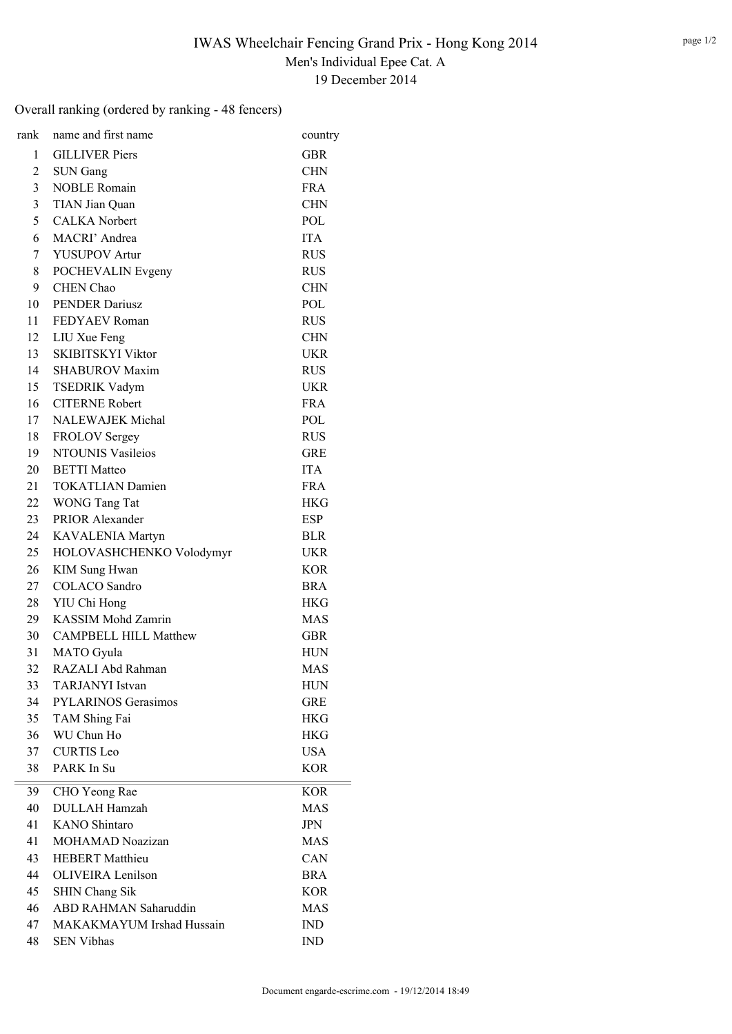# Overall ranking (ordered by ranking - 48 fencers)

| rank           | name and first name          | country    |
|----------------|------------------------------|------------|
| 1              | <b>GILLIVER</b> Piers        | <b>GBR</b> |
| $\overline{c}$ | <b>SUN Gang</b>              | <b>CHN</b> |
| 3              | <b>NOBLE Romain</b>          | <b>FRA</b> |
| 3              | TIAN Jian Quan               | <b>CHN</b> |
| 5              | <b>CALKA</b> Norbert         | POL        |
| 6              | MACRI' Andrea                | <b>ITA</b> |
| 7              | <b>YUSUPOV Artur</b>         | <b>RUS</b> |
| 8              | POCHEVALIN Evgeny            | <b>RUS</b> |
| 9              | <b>CHEN Chao</b>             | <b>CHN</b> |
| 10             | <b>PENDER Dariusz</b>        | POL        |
| 11             | FEDYAEV Roman                | <b>RUS</b> |
| 12             | LIU Xue Feng                 | <b>CHN</b> |
| 13             | <b>SKIBITSKYI Viktor</b>     | <b>UKR</b> |
| 14             | <b>SHABUROV Maxim</b>        | <b>RUS</b> |
| 15             | <b>TSEDRIK Vadym</b>         | <b>UKR</b> |
| 16             | <b>CITERNE Robert</b>        | <b>FRA</b> |
| 17             | NALEWAJEK Michal             | POL        |
| 18             | <b>FROLOV Sergey</b>         | <b>RUS</b> |
| 19             | <b>NTOUNIS Vasileios</b>     | <b>GRE</b> |
| 20             | <b>BETTI</b> Matteo          | <b>ITA</b> |
| 21             | <b>TOKATLIAN Damien</b>      | FR A       |
| 22             | WONG Tang Tat                | <b>HKG</b> |
| 23             | PRIOR Alexander              | <b>ESP</b> |
| 24             | KAVALENIA Martyn             | <b>BLR</b> |
| 25             | HOLOVASHCHENKO Volodymyr     | <b>UKR</b> |
| 26             | <b>KIM Sung Hwan</b>         | <b>KOR</b> |
| 27             | <b>COLACO</b> Sandro         | <b>BRA</b> |
| 28             | YIU Chi Hong                 | <b>HKG</b> |
| 29             | <b>KASSIM Mohd Zamrin</b>    | <b>MAS</b> |
| 30             | <b>CAMPBELL HILL Matthew</b> | <b>GBR</b> |
| 31             | <b>MATO</b> Gyula            | <b>HUN</b> |
| 32             | RAZALI Abd Rahman            | <b>MAS</b> |
| 33             | <b>TARJANYI</b> Istvan       | <b>HUN</b> |
| 34             | <b>PYLARINOS Gerasimos</b>   | <b>GRE</b> |
| 35             | TAM Shing Fai                | HKG        |
| 36             | WU Chun Ho                   | <b>HKG</b> |
| 37             | <b>CURTIS</b> Leo            | <b>USA</b> |
| 38             | PARK In Su                   | <b>KOR</b> |
| 39             | CHO Yeong Rae                | <b>KOR</b> |
| 40             | <b>DULLAH Hamzah</b>         | <b>MAS</b> |
| 41             | <b>KANO</b> Shintaro         | <b>JPN</b> |
| 41             | <b>MOHAMAD Noazizan</b>      | MAS        |
| 43             | <b>HEBERT</b> Matthieu       | CAN        |
| 44             | <b>OLIVEIRA</b> Lenilson     | <b>BRA</b> |
| 45             | <b>SHIN Chang Sik</b>        | <b>KOR</b> |
| 46             | ABD RAHMAN Saharuddin        | MAS        |
| 47             | MAKAKMAYUM Irshad Hussain    | IND        |
| 48             | <b>SEN Vibhas</b>            | <b>IND</b> |
|                |                              |            |